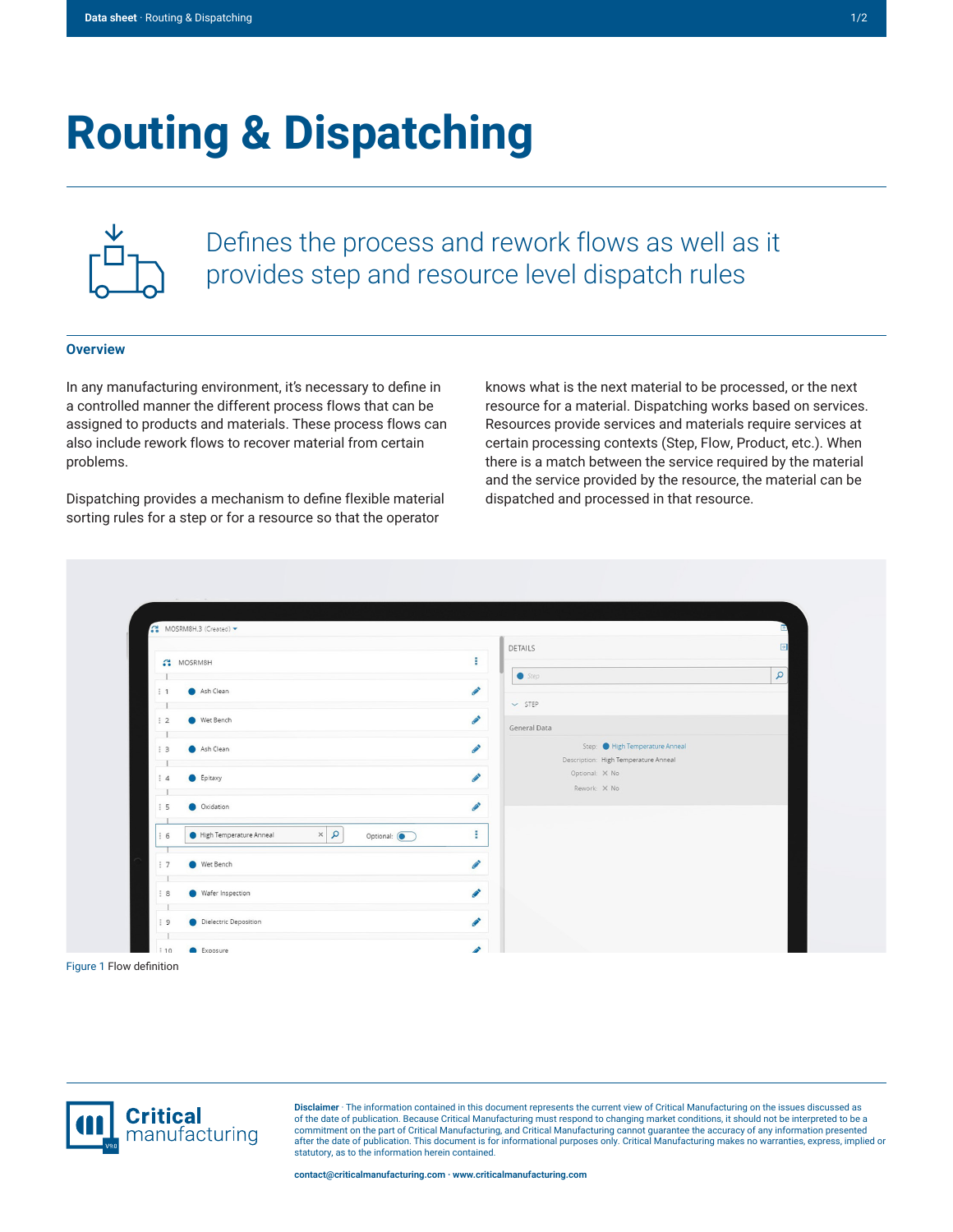## **Routing & Dispatching**



Defines the process and rework flows as well as it provides step and resource level dispatch rules

## **Overview**

In any manufacturing environment, it's necessary to define in a controlled manner the different process flows that can be assigned to products and materials. These process flows can also include rework flows to recover material from certain problems.

Dispatching provides a mechanism to define flexible material sorting rules for a step or for a resource so that the operator

knows what is the next material to be processed, or the next resource for a material. Dispatching works based on services. Resources provide services and materials require services at certain processing contexts (Step, Flow, Product, etc.). When there is a match between the service required by the material and the service provided by the resource, the material can be dispatched and processed in that resource.

| ÷<br>MOSRM8H<br><b>CONTRACT</b><br>Ash Clean<br>$\frac{1}{2}$ 1<br>ℐ<br>Wet Bench<br>$\frac{1}{2}$<br><b>CONTRACT</b><br>Ash Clean<br>$\frac{1}{2}$ 3<br>$\mathcal{L}$<br>Epitaxy<br>$\frac{1}{2}$ 4<br><b>CONTRACT</b><br>Oxidation<br>$\frac{1}{2}$ 5 | $\Theta$<br><b>DETAILS</b><br>$\alpha$<br>Sep<br>$\vee$ STEP<br>General Data<br>Step: High Temperature Anneal<br>Description: High Temperature Anneal<br>Optional: X No<br>Rework: X No |
|---------------------------------------------------------------------------------------------------------------------------------------------------------------------------------------------------------------------------------------------------------|-----------------------------------------------------------------------------------------------------------------------------------------------------------------------------------------|
|                                                                                                                                                                                                                                                         |                                                                                                                                                                                         |
|                                                                                                                                                                                                                                                         |                                                                                                                                                                                         |
|                                                                                                                                                                                                                                                         |                                                                                                                                                                                         |
|                                                                                                                                                                                                                                                         |                                                                                                                                                                                         |
|                                                                                                                                                                                                                                                         |                                                                                                                                                                                         |
|                                                                                                                                                                                                                                                         |                                                                                                                                                                                         |
|                                                                                                                                                                                                                                                         |                                                                                                                                                                                         |
|                                                                                                                                                                                                                                                         |                                                                                                                                                                                         |
|                                                                                                                                                                                                                                                         |                                                                                                                                                                                         |
|                                                                                                                                                                                                                                                         |                                                                                                                                                                                         |
| $\propto$ $\mid$ $\varphi$<br>High Temperature Anneal<br>÷<br>Optional: (<br>$\vdots$ 6                                                                                                                                                                 |                                                                                                                                                                                         |
| <b>Contract</b><br>Wet Bench<br>$\vdots$ 7                                                                                                                                                                                                              |                                                                                                                                                                                         |
|                                                                                                                                                                                                                                                         |                                                                                                                                                                                         |
| ℐ<br>Wafer Inspection<br>$\frac{1}{2}$ 8                                                                                                                                                                                                                |                                                                                                                                                                                         |
|                                                                                                                                                                                                                                                         |                                                                                                                                                                                         |



**Disclaimer** · The information contained in this document represents the current view of Critical Manufacturing on the issues discussed as of the date of publication. Because Critical Manufacturing must respond to changing market conditions, it should not be interpreted to be a commitment on the part of Critical Manufacturing, and Critical Manufacturing cannot guarantee the accuracy of any information presented after the date of publication. This document is for informational purposes only. Critical Manufacturing makes no warranties, express, implied or statutory, as to the information herein contained.